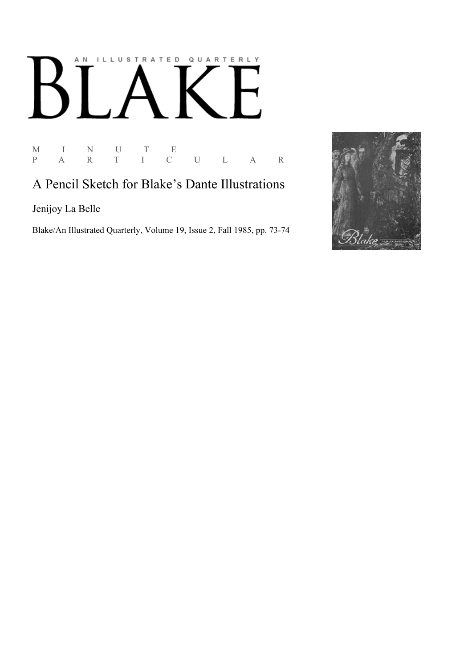## AN ILLUSTRATED QUARTERLY Ӄ

 $\begin{array}{ccccccccc} \textrm{M} & & I & & \textrm{N} & & U & & \textrm{T} & & \textrm{E} \\ \textrm{P} & & \textrm{A} & & \textrm{R} & & \textrm{T} & & I & & \textrm{C} \end{array}$ P A R T I C U L A R

## A Pencil Sketch for Blake's Dante Illustrations

Jenijoy La Belle

Blake/An Illustrated Quarterly, Volume 19, Issue 2, Fall 1985, pp. 73-74

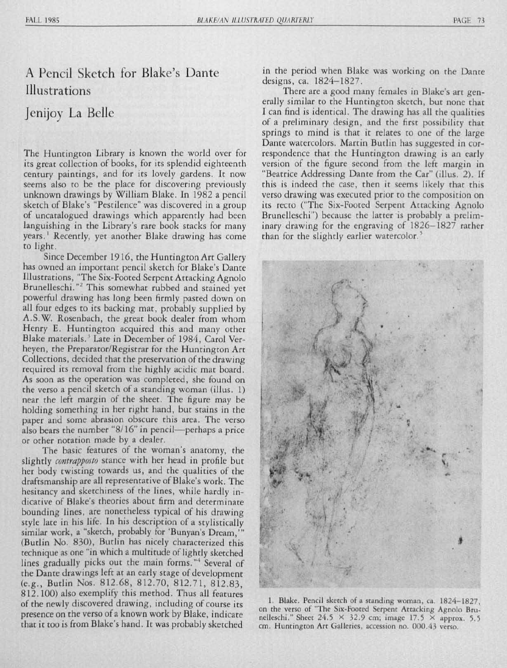## A Pencil Sketch for Blake's Dante **Illustrations**

## Jenijoy La Belle

The Huntington Library is known the world over for its great collection of books, for its splendid eighteenth century paintings, and for its lovely gardens. It now seems also to be the place for discovering previously unknown drawings by William Blake. In 1982 a pencil sketch of Blake's "Pestilence" was discovered in a group of uncatalogued drawings which apparently had been languishing in the Library's rare book stacks for many years. Recently, yet another Blake drawing has come to light.

Since December 1916, the Huntington Art Gallery has owned an important pencil sketch for Blake's Dante Illustrations, "The Six-Footed Serpent Attacking Agnolo Brunelleschi."2 This somewhat rubbed and stained yet powerful drawing has long been firmly pasted down on all four edges to its backing mat, probably supplied by A.S. W. Rosenbach, the great book dealer from whom Henry E. Huntington acquired this and many other Blake materials.<sup>3</sup> Late in December of 1984, Carol Verheyen, the Preparator/Registrar for the Huntington Art Collections, decided that the preservation of the drawing required its removal from the highly acidic mat board. As soon as the operation was *completed,* she found on the verso a *pencil* sketch of a standing woman (illus. ]) near the left margin of the sheet. The figure may be holding something in her right hand, but stains in the paper and some abrasion obscure this area. The verso also bears the number " $8/16$ " in pencil—perhaps a price or other notation made by a dealer.

The basic features of the woman's anatomy, the slightly *contrapposto* stance with her head in profile but her body twisting towards us, and the qualities of the draftsmanship are all representative of Blake's work. The hesitancy and sketchiness of the lines, while hardly indicative of Blake's theories about firm and determinate bounding lines, are nonetheless typical of his drawing style late in his life. In his description of a stylistically similar work, a "sketch, probably for 'Bunyan's Dream,' (Budin No. 830), Budin has nicely characterized this technique as one "in which a multitude of lightly sketched lines gradually picks out the main forms."<sup>4</sup> Several of the Dante drawings left at an early stage of development (e.g., Butlin Nos. 812.68, 812.70, 812.71, 812.83, 812.100) also exemplify this method. Thus all features of the newly discovered drawing, including of course its presence on the verso of a known work by Blake, indicate that it too is from Blake's hand. It was probably sketched

in the period when Blake was working on the Dante designs, ca. 1824-1827.

There are a good many females in Blake's art generally similar to the Huntington sketch, but none that I can find is identical. The drawing has all the qualities of a preliminary design, and the first possibility that springs to mind is that it relates to one of the large Dante watercolors. Martin Butlin has suggested in correspondence that the Huntington drawing is an early version of the figure second from the left margin in "Beatrice Addressing Dante from the Car" (illus. 2). If this is indeed the case, then it seems likely that this verso drawing was executed prior to the composition on its recto ("The Six-Footed Serpent Attacking Agnolo Brunelleschi") because the latter is probably a preliminary drawing for the engraving of 1826-1827 rather than for the slightly earlier watercolor.



1. Blake. Pencil sketch of a standing woman, ca. 1824-1827, on the verso of "The Six-Footed Serpent Attacking Agnolo Brunelleschi." Sheet 24.5  $\times$  32.9 cm; image 17.5  $\times$  approx. 5.5 cm. Huntington Art Galleries, accession no. 000.43 verso.